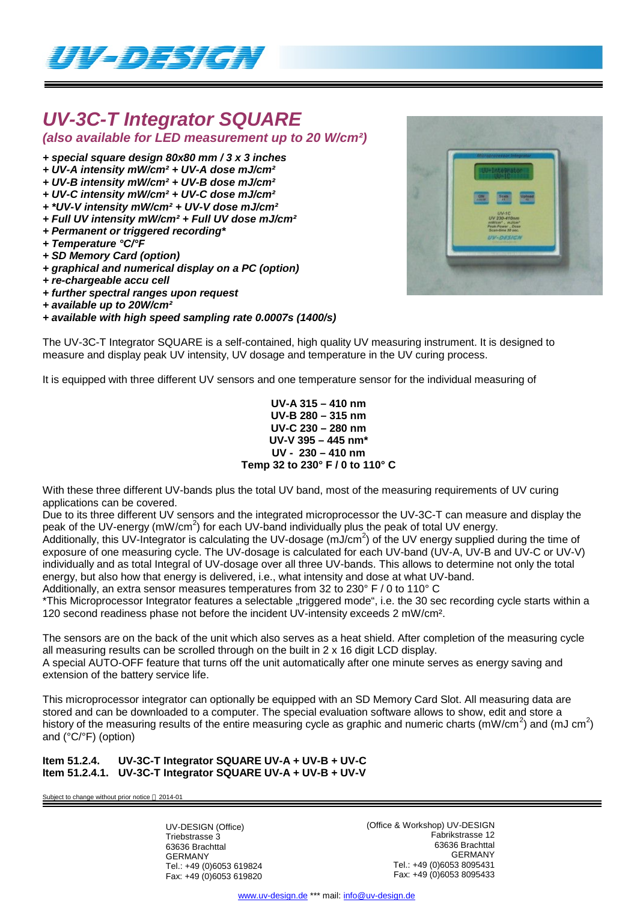

## *UV-3C-T Integrator SQUARE*

*(also available for LED measurement up to 20 W/cm²)*

- *+ special square design 80x80 mm / 3 x 3 inches*
- *+ UV-A intensity mW/cm² + UV-A dose mJ/cm²*
- *+ UV-B intensity mW/cm² + UV-B dose mJ/cm²*
- *+ UV-C intensity mW/cm² + UV-C dose mJ/cm²*
- *+ \*UV-V intensity mW/cm² + UV-V dose mJ/cm²*
- *+ Full UV intensity mW/cm² + Full UV dose mJ/cm²*
- *+ Permanent or triggered recording\**
- *+ Temperature °C/°F*
- *+ SD Memory Card (option)*
- *+ graphical and numerical display on a PC (option)*
- *+ re-chargeable accu cell*
- *+ further spectral ranges upon request*
- *+ available up to 20W/cm²*
- *+ available with high speed sampling rate 0.0007s (1400/s)*



The UV-3C-T Integrator SQUARE is a self-contained, high quality UV measuring instrument. It is designed to measure and display peak UV intensity, UV dosage and temperature in the UV curing process.

It is equipped with three different UV sensors and one temperature sensor for the individual measuring of

## **UV-A 315 – 410 nm UV-B 280 – 315 nm UV-C 230 – 280 nm UV-V 395 – 445 nm\* UV - 230 – 410 nm Temp 32 to 230° F / 0 to 110° C**

With these three different UV-bands plus the total UV band, most of the measuring requirements of UV curing applications can be covered.

Due to its three different UV sensors and the integrated microprocessor the UV-3C-T can measure and display the peak of the UV-energy (mW/cm<sup>2</sup>) for each UV-band individually plus the peak of total UV energy.

Additionally, this UV-Integrator is calculating the UV-dosage (mJ/cm<sup>2</sup>) of the UV energy supplied during the time of exposure of one measuring cycle. The UV-dosage is calculated for each UV-band (UV-A, UV-B and UV-C or UV-V) individually and as total Integral of UV-dosage over all three UV-bands. This allows to determine not only the total energy, but also how that energy is delivered, i.e., what intensity and dose at what UV-band.

Additionally, an extra sensor measures temperatures from 32 to 230° F / 0 to 110° C

\*This Microprocessor Integrator features a selectable "triggered mode", i.e. the 30 sec recording cycle starts within a 120 second readiness phase not before the incident UV-intensity exceeds 2 mW/cm².

The sensors are on the back of the unit which also serves as a heat shield. After completion of the measuring cycle all measuring results can be scrolled through on the built in 2 x 16 digit LCD display. A special AUTO-OFF feature that turns off the unit automatically after one minute serves as energy saving and extension of the battery service life.

This microprocessor integrator can optionally be equipped with an SD Memory Card Slot. All measuring data are stored and can be downloaded to a computer. The special evaluation software allows to show, edit and store a history of the measuring results of the entire measuring cycle as graphic and numeric charts (mW/cm<sup>2</sup>) and (mJ cm<sup>2</sup>) and (°C/°F) (option)

**Item 51.2.4. UV-3C-T Integrator SQUARE UV-A + UV-B + UV-C Item 51.2.4.1. UV-3C-T Integrator SQUARE UV-A + UV-B + UV-V**

Subject to change without prior notice  $@$  2014-01

UV-DESIGN (Office) Triebstrasse 3 63636 Brachttal GERMANY Tel.: +49 (0)6053 619824 Fax: +49 (0)6053 619820 (Office & Workshop) UV-DESIGN Fabrikstrasse 12 63636 Brachttal GERMANY Tel.: +49 (0)6053 8095431 Fax: +49 (0)6053 8095433